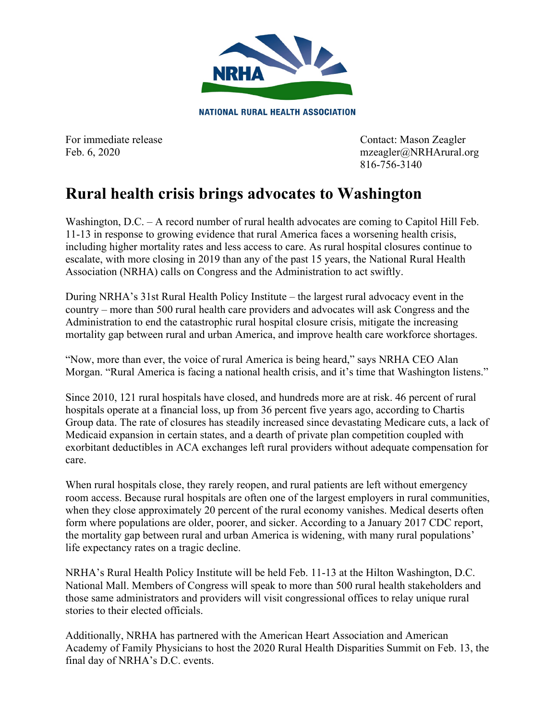

**NATIONAL RURAL HEALTH ASSOCIATION** 

For immediate release Contact: Mason Zeagler Feb. 6, 2020 mzeagler@NRHArural.org 816-756-3140

## **Rural health crisis brings advocates to Washington**

Washington, D.C. – A record number of rural health advocates are coming to Capitol Hill Feb. 11-13 in response to growing evidence that rural America faces a worsening health crisis, including higher mortality rates and less access to care. As rural hospital closures continue to escalate, with more closing in 2019 than any of the past 15 years, the National Rural Health Association (NRHA) calls on Congress and the Administration to act swiftly.

During NRHA's 31st Rural Health Policy Institute – the largest rural advocacy event in the country – more than 500 rural health care providers and advocates will ask Congress and the Administration to end the catastrophic rural hospital closure crisis, mitigate the increasing mortality gap between rural and urban America, and improve health care workforce shortages.

"Now, more than ever, the voice of rural America is being heard," says NRHA CEO Alan Morgan. "Rural America is facing a national health crisis, and it's time that Washington listens."

Since 2010, 121 rural hospitals have closed, and hundreds more are at risk. 46 percent of rural hospitals operate at a financial loss, up from 36 percent five years ago, according to Chartis Group data. The rate of closures has steadily increased since devastating Medicare cuts, a lack of Medicaid expansion in certain states, and a dearth of private plan competition coupled with exorbitant deductibles in ACA exchanges left rural providers without adequate compensation for care.

When rural hospitals close, they rarely reopen, and rural patients are left without emergency room access. Because rural hospitals are often one of the largest employers in rural communities, when they close approximately 20 percent of the rural economy vanishes. Medical deserts often form where populations are older, poorer, and sicker. According to a January 2017 CDC report, the mortality gap between rural and urban America is widening, with many rural populations' life expectancy rates on a tragic decline.

NRHA's Rural Health Policy Institute will be held Feb. 11-13 at the Hilton Washington, D.C. National Mall. Members of Congress will speak to more than 500 rural health stakeholders and those same administrators and providers will visit congressional offices to relay unique rural stories to their elected officials.

Additionally, NRHA has partnered with the American Heart Association and American Academy of Family Physicians to host the 2020 Rural Health Disparities Summit on Feb. 13, the final day of NRHA's D.C. events.